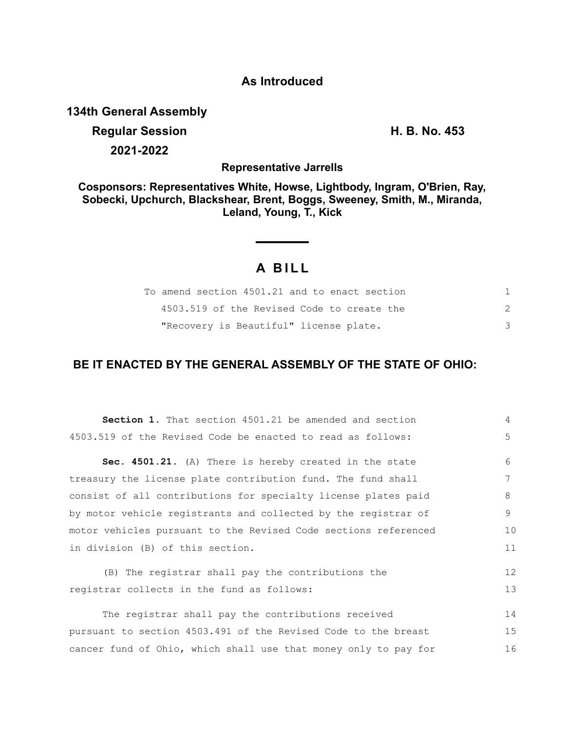### **As Introduced**

**134th General Assembly**

# **Regular Session H. B. No. 453 2021-2022**

**Representative Jarrells**

**Cosponsors: Representatives White, Howse, Lightbody, Ingram, O'Brien, Ray, Sobecki, Upchurch, Blackshear, Brent, Boggs, Sweeney, Smith, M., Miranda, Leland, Young, T., Kick**

## **A B I L L**

| To amend section 4501.21 and to enact section |  |
|-----------------------------------------------|--|
| 4503.519 of the Revised Code to create the    |  |
| "Recovery is Beautiful" license plate.        |  |

## **BE IT ENACTED BY THE GENERAL ASSEMBLY OF THE STATE OF OHIO:**

| <b>Section 1.</b> That section 4501.21 be amended and section   | $\overline{4}$ |
|-----------------------------------------------------------------|----------------|
| 4503.519 of the Revised Code be enacted to read as follows:     | $\overline{5}$ |
| Sec. 4501.21. (A) There is hereby created in the state          | 6              |
| treasury the license plate contribution fund. The fund shall    | 7              |
| consist of all contributions for specialty license plates paid  | 8              |
| by motor vehicle registrants and collected by the registrar of  | 9              |
| motor vehicles pursuant to the Revised Code sections referenced | 10             |
| in division (B) of this section.                                | 11             |
| (B) The registrar shall pay the contributions the               | 12             |
| registrar collects in the fund as follows:                      | 13             |
| The registrar shall pay the contributions received              | 14             |
| pursuant to section 4503.491 of the Revised Code to the breast  | 15             |
| cancer fund of Ohio, which shall use that money only to pay for | 16             |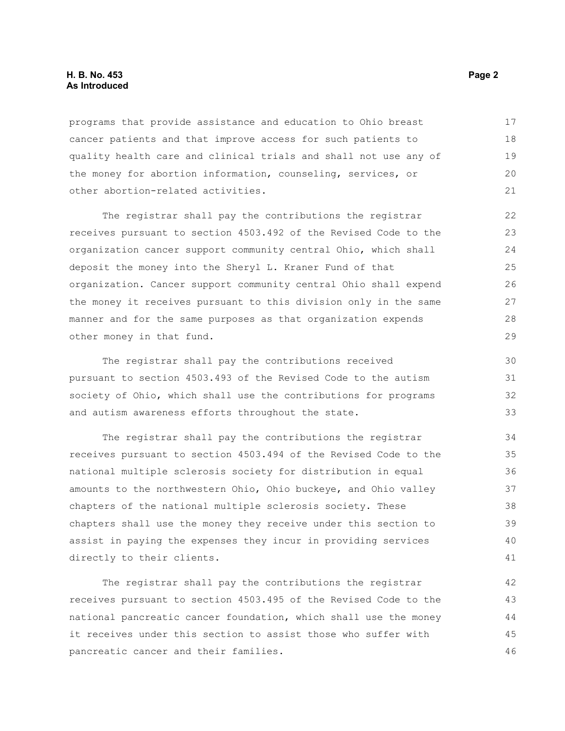#### **H. B. No. 453** Page 2 **As Introduced**

programs that provide assistance and education to Ohio breast cancer patients and that improve access for such patients to quality health care and clinical trials and shall not use any of the money for abortion information, counseling, services, or other abortion-related activities. 17 18 19 20 21

The registrar shall pay the contributions the registrar receives pursuant to section 4503.492 of the Revised Code to the organization cancer support community central Ohio, which shall deposit the money into the Sheryl L. Kraner Fund of that organization. Cancer support community central Ohio shall expend the money it receives pursuant to this division only in the same manner and for the same purposes as that organization expends other money in that fund.

The registrar shall pay the contributions received pursuant to section 4503.493 of the Revised Code to the autism society of Ohio, which shall use the contributions for programs and autism awareness efforts throughout the state.

The registrar shall pay the contributions the registrar receives pursuant to section 4503.494 of the Revised Code to the national multiple sclerosis society for distribution in equal amounts to the northwestern Ohio, Ohio buckeye, and Ohio valley chapters of the national multiple sclerosis society. These chapters shall use the money they receive under this section to assist in paying the expenses they incur in providing services directly to their clients.

The registrar shall pay the contributions the registrar receives pursuant to section 4503.495 of the Revised Code to the national pancreatic cancer foundation, which shall use the money it receives under this section to assist those who suffer with pancreatic cancer and their families.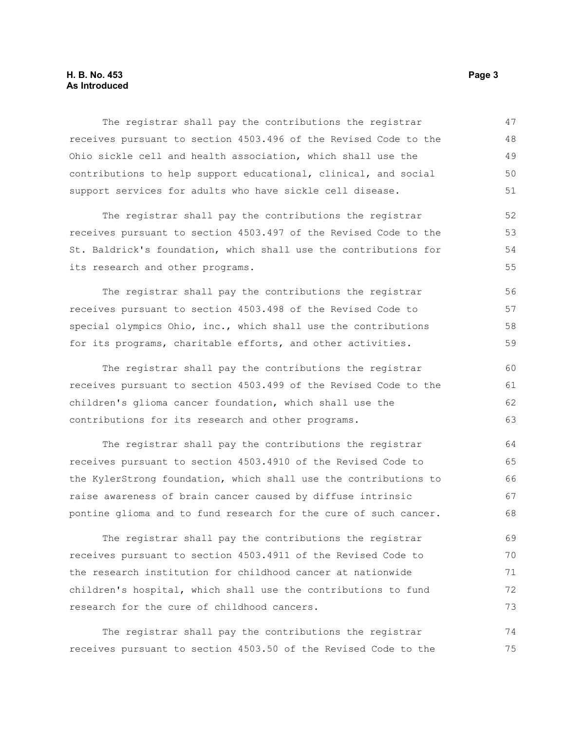#### **H. B. No. 453** Page 3 **As Introduced**

The registrar shall pay the contributions the registrar receives pursuant to section 4503.496 of the Revised Code to the Ohio sickle cell and health association, which shall use the contributions to help support educational, clinical, and social support services for adults who have sickle cell disease. 47 48 49 50 51

The registrar shall pay the contributions the registrar receives pursuant to section 4503.497 of the Revised Code to the St. Baldrick's foundation, which shall use the contributions for its research and other programs.

The registrar shall pay the contributions the registrar receives pursuant to section 4503.498 of the Revised Code to special olympics Ohio, inc., which shall use the contributions for its programs, charitable efforts, and other activities.

The registrar shall pay the contributions the registrar receives pursuant to section 4503.499 of the Revised Code to the children's glioma cancer foundation, which shall use the contributions for its research and other programs.

The registrar shall pay the contributions the registrar receives pursuant to section 4503.4910 of the Revised Code to the KylerStrong foundation, which shall use the contributions to raise awareness of brain cancer caused by diffuse intrinsic pontine glioma and to fund research for the cure of such cancer. 64 65 66 67 68

The registrar shall pay the contributions the registrar receives pursuant to section 4503.4911 of the Revised Code to the research institution for childhood cancer at nationwide children's hospital, which shall use the contributions to fund research for the cure of childhood cancers. 69 70 71 72 73

The registrar shall pay the contributions the registrar receives pursuant to section 4503.50 of the Revised Code to the 74 75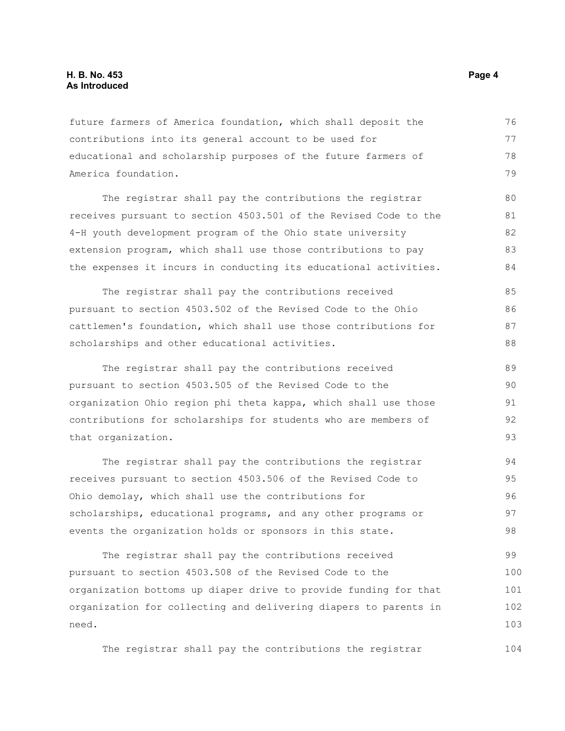#### **H. B. No. 453** Page 4 **As Introduced**

future farmers of America foundation, which shall deposit the contributions into its general account to be used for educational and scholarship purposes of the future farmers of America foundation. 76 77 78 79

The registrar shall pay the contributions the registrar receives pursuant to section 4503.501 of the Revised Code to the 4-H youth development program of the Ohio state university extension program, which shall use those contributions to pay the expenses it incurs in conducting its educational activities. 80 81 82 83 84

The registrar shall pay the contributions received pursuant to section 4503.502 of the Revised Code to the Ohio cattlemen's foundation, which shall use those contributions for scholarships and other educational activities. 85 86 87 88

The registrar shall pay the contributions received pursuant to section 4503.505 of the Revised Code to the organization Ohio region phi theta kappa, which shall use those contributions for scholarships for students who are members of that organization. 89 90 91 92 93

The registrar shall pay the contributions the registrar receives pursuant to section 4503.506 of the Revised Code to Ohio demolay, which shall use the contributions for scholarships, educational programs, and any other programs or events the organization holds or sponsors in this state. 94 95 96 97 98

The registrar shall pay the contributions received pursuant to section 4503.508 of the Revised Code to the organization bottoms up diaper drive to provide funding for that organization for collecting and delivering diapers to parents in need. 99 100 101 102 103

The registrar shall pay the contributions the registrar 104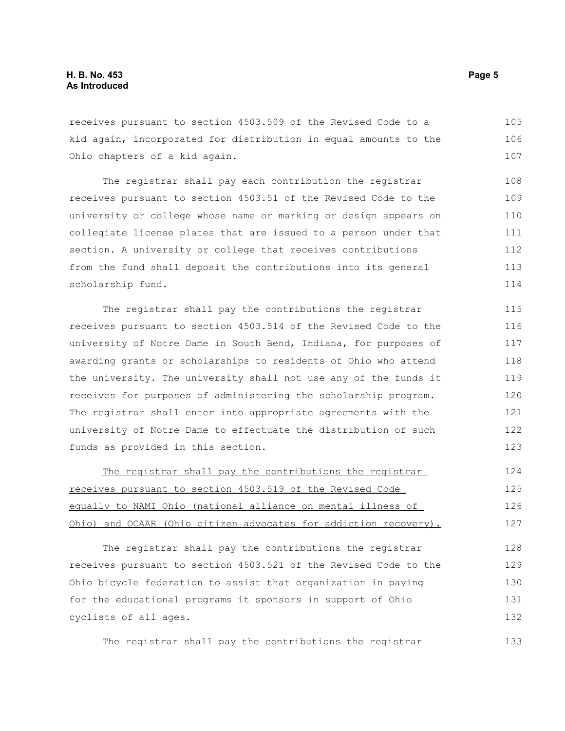receives pursuant to section 4503.509 of the Revised Code to a kid again, incorporated for distribution in equal amounts to the Ohio chapters of a kid again. 105 106 107

The registrar shall pay each contribution the registrar receives pursuant to section 4503.51 of the Revised Code to the university or college whose name or marking or design appears on collegiate license plates that are issued to a person under that section. A university or college that receives contributions from the fund shall deposit the contributions into its general scholarship fund. 108 109 110 111 112 113 114

The registrar shall pay the contributions the registrar receives pursuant to section 4503.514 of the Revised Code to the university of Notre Dame in South Bend, Indiana, for purposes of awarding grants or scholarships to residents of Ohio who attend the university. The university shall not use any of the funds it receives for purposes of administering the scholarship program. The registrar shall enter into appropriate agreements with the university of Notre Dame to effectuate the distribution of such funds as provided in this section. 115 116 117 118 119 120 121 122 123

| The registrar shall pay the contributions the registrar          | 124 |
|------------------------------------------------------------------|-----|
| receives pursuant to section 4503.519 of the Revised Code        | 125 |
| equally to NAMI Ohio (national alliance on mental illness of     | 126 |
| Ohio) and OCAAR (Ohio citizen advocates for addiction recovery). | 127 |

The registrar shall pay the contributions the registrar receives pursuant to section 4503.521 of the Revised Code to the Ohio bicycle federation to assist that organization in paying for the educational programs it sponsors in support of Ohio cyclists of all ages. 128 129 130 131 132

The registrar shall pay the contributions the registrar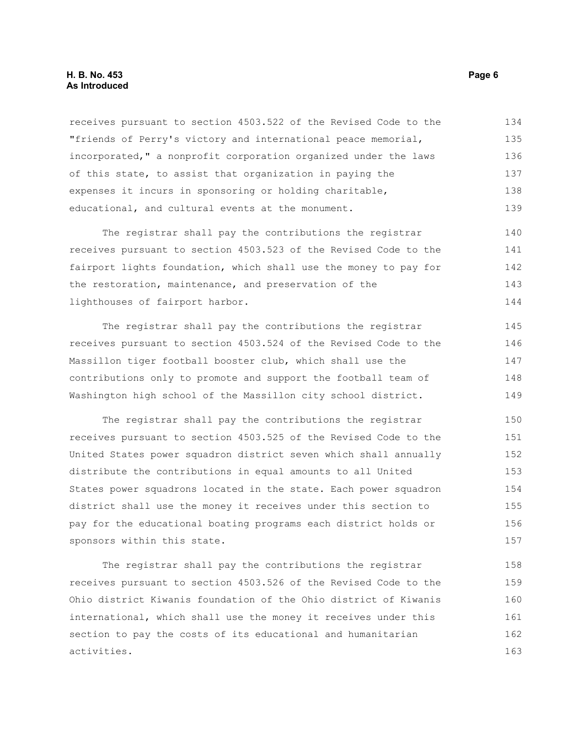#### **H. B. No. 453** Page 6 **As Introduced**

receives pursuant to section 4503.522 of the Revised Code to the "friends of Perry's victory and international peace memorial, incorporated," a nonprofit corporation organized under the laws of this state, to assist that organization in paying the expenses it incurs in sponsoring or holding charitable, educational, and cultural events at the monument. 134 135 136 137 138 139

The registrar shall pay the contributions the registrar receives pursuant to section 4503.523 of the Revised Code to the fairport lights foundation, which shall use the money to pay for the restoration, maintenance, and preservation of the lighthouses of fairport harbor. 140 141 142 143 144

The registrar shall pay the contributions the registrar receives pursuant to section 4503.524 of the Revised Code to the Massillon tiger football booster club, which shall use the contributions only to promote and support the football team of Washington high school of the Massillon city school district. 145 146 147 148 149

The registrar shall pay the contributions the registrar receives pursuant to section 4503.525 of the Revised Code to the United States power squadron district seven which shall annually distribute the contributions in equal amounts to all United States power squadrons located in the state. Each power squadron district shall use the money it receives under this section to pay for the educational boating programs each district holds or sponsors within this state. 150 151 152 153 154 155 156 157

The registrar shall pay the contributions the registrar receives pursuant to section 4503.526 of the Revised Code to the Ohio district Kiwanis foundation of the Ohio district of Kiwanis international, which shall use the money it receives under this section to pay the costs of its educational and humanitarian activities. 158 159 160 161 162 163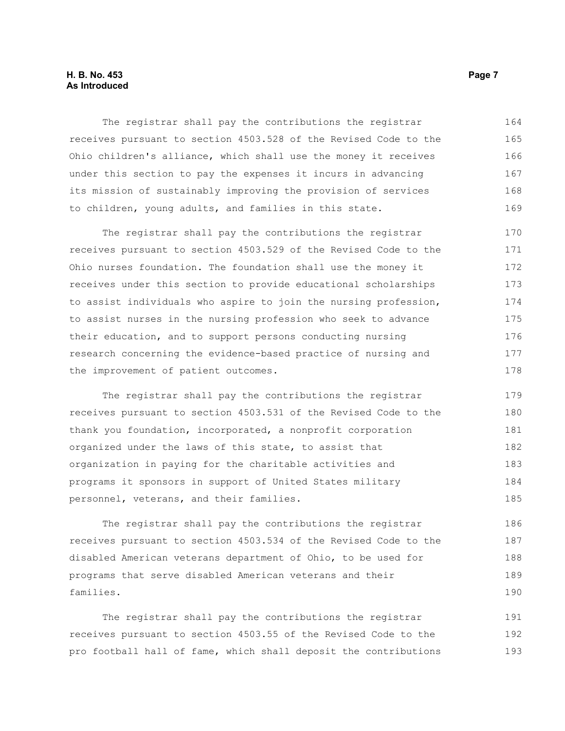#### **H. B. No. 453** Page 7 **As Introduced**

The registrar shall pay the contributions the registrar receives pursuant to section 4503.528 of the Revised Code to the Ohio children's alliance, which shall use the money it receives under this section to pay the expenses it incurs in advancing its mission of sustainably improving the provision of services to children, young adults, and families in this state. 164 165 166 167 168 169

The registrar shall pay the contributions the registrar receives pursuant to section 4503.529 of the Revised Code to the Ohio nurses foundation. The foundation shall use the money it receives under this section to provide educational scholarships to assist individuals who aspire to join the nursing profession, to assist nurses in the nursing profession who seek to advance their education, and to support persons conducting nursing research concerning the evidence-based practice of nursing and the improvement of patient outcomes. 170 171 172 173 174 175 176 177 178

The registrar shall pay the contributions the registrar receives pursuant to section 4503.531 of the Revised Code to the thank you foundation, incorporated, a nonprofit corporation organized under the laws of this state, to assist that organization in paying for the charitable activities and programs it sponsors in support of United States military personnel, veterans, and their families. 179 180 181 182 183 184 185

The registrar shall pay the contributions the registrar receives pursuant to section 4503.534 of the Revised Code to the disabled American veterans department of Ohio, to be used for programs that serve disabled American veterans and their families.

The registrar shall pay the contributions the registrar receives pursuant to section 4503.55 of the Revised Code to the pro football hall of fame, which shall deposit the contributions 191 192 193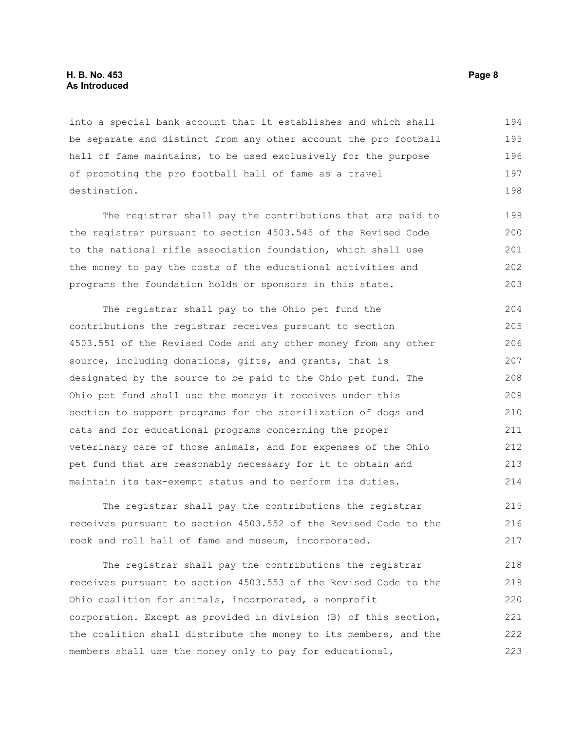#### **H. B. No. 453 Page 8 As Introduced**

into a special bank account that it establishes and which shall be separate and distinct from any other account the pro football hall of fame maintains, to be used exclusively for the purpose of promoting the pro football hall of fame as a travel destination. 194 195 196 197 198

The registrar shall pay the contributions that are paid to the registrar pursuant to section 4503.545 of the Revised Code to the national rifle association foundation, which shall use the money to pay the costs of the educational activities and programs the foundation holds or sponsors in this state.

The registrar shall pay to the Ohio pet fund the contributions the registrar receives pursuant to section 4503.551 of the Revised Code and any other money from any other source, including donations, gifts, and grants, that is designated by the source to be paid to the Ohio pet fund. The Ohio pet fund shall use the moneys it receives under this section to support programs for the sterilization of dogs and cats and for educational programs concerning the proper veterinary care of those animals, and for expenses of the Ohio pet fund that are reasonably necessary for it to obtain and maintain its tax-exempt status and to perform its duties. 204 205 206 207 208 209 210 211 212 213 214

The registrar shall pay the contributions the registrar receives pursuant to section 4503.552 of the Revised Code to the rock and roll hall of fame and museum, incorporated. 215 216 217

The registrar shall pay the contributions the registrar receives pursuant to section 4503.553 of the Revised Code to the Ohio coalition for animals, incorporated, a nonprofit corporation. Except as provided in division (B) of this section, the coalition shall distribute the money to its members, and the members shall use the money only to pay for educational, 218 219 220 221 222 223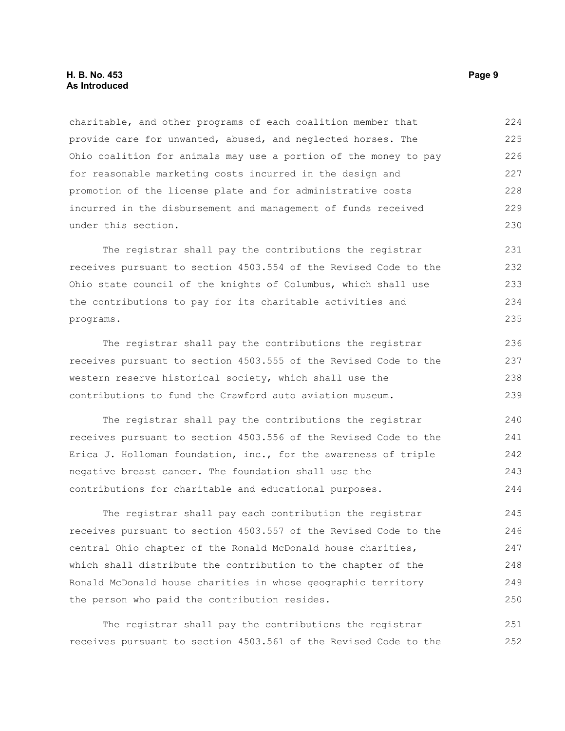charitable, and other programs of each coalition member that provide care for unwanted, abused, and neglected horses. The Ohio coalition for animals may use a portion of the money to pay for reasonable marketing costs incurred in the design and promotion of the license plate and for administrative costs incurred in the disbursement and management of funds received under this section. 224 225 226 227 228 229 230

The registrar shall pay the contributions the registrar receives pursuant to section 4503.554 of the Revised Code to the Ohio state council of the knights of Columbus, which shall use the contributions to pay for its charitable activities and programs. 231 232 233 234 235

The registrar shall pay the contributions the registrar receives pursuant to section 4503.555 of the Revised Code to the western reserve historical society, which shall use the contributions to fund the Crawford auto aviation museum. 236 237 238 239

The registrar shall pay the contributions the registrar receives pursuant to section 4503.556 of the Revised Code to the Erica J. Holloman foundation, inc., for the awareness of triple negative breast cancer. The foundation shall use the contributions for charitable and educational purposes. 240 241 242 243 244

The registrar shall pay each contribution the registrar receives pursuant to section 4503.557 of the Revised Code to the central Ohio chapter of the Ronald McDonald house charities, which shall distribute the contribution to the chapter of the Ronald McDonald house charities in whose geographic territory the person who paid the contribution resides. 245 246 247 248 249 250

The registrar shall pay the contributions the registrar receives pursuant to section 4503.561 of the Revised Code to the 251 252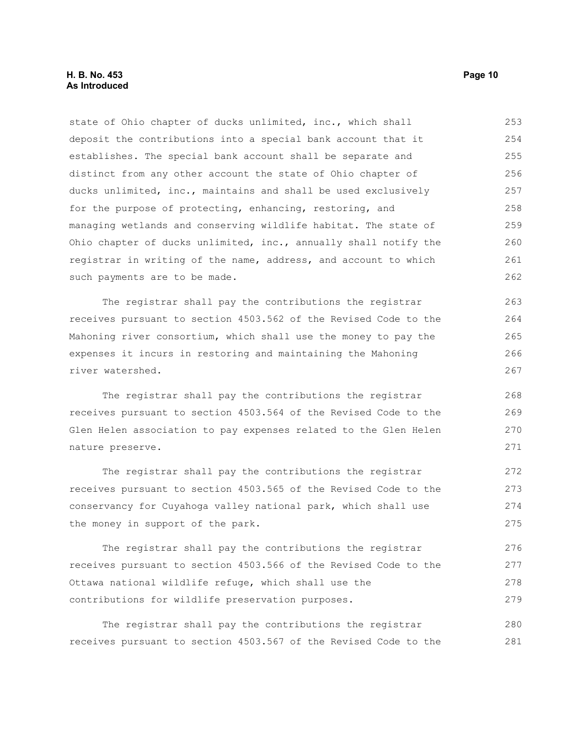#### **H. B. No. 453 Page 10 As Introduced**

state of Ohio chapter of ducks unlimited, inc., which shall deposit the contributions into a special bank account that it establishes. The special bank account shall be separate and distinct from any other account the state of Ohio chapter of ducks unlimited, inc., maintains and shall be used exclusively for the purpose of protecting, enhancing, restoring, and managing wetlands and conserving wildlife habitat. The state of Ohio chapter of ducks unlimited, inc., annually shall notify the registrar in writing of the name, address, and account to which such payments are to be made. 253 254 255 256 257 258 259 260 261 262

The registrar shall pay the contributions the registrar receives pursuant to section 4503.562 of the Revised Code to the Mahoning river consortium, which shall use the money to pay the expenses it incurs in restoring and maintaining the Mahoning river watershed.

The registrar shall pay the contributions the registrar receives pursuant to section 4503.564 of the Revised Code to the Glen Helen association to pay expenses related to the Glen Helen nature preserve.

The registrar shall pay the contributions the registrar receives pursuant to section 4503.565 of the Revised Code to the conservancy for Cuyahoga valley national park, which shall use the money in support of the park. 272 273 274 275

The registrar shall pay the contributions the registrar receives pursuant to section 4503.566 of the Revised Code to the Ottawa national wildlife refuge, which shall use the contributions for wildlife preservation purposes. 276 277 278 279

The registrar shall pay the contributions the registrar receives pursuant to section 4503.567 of the Revised Code to the 280 281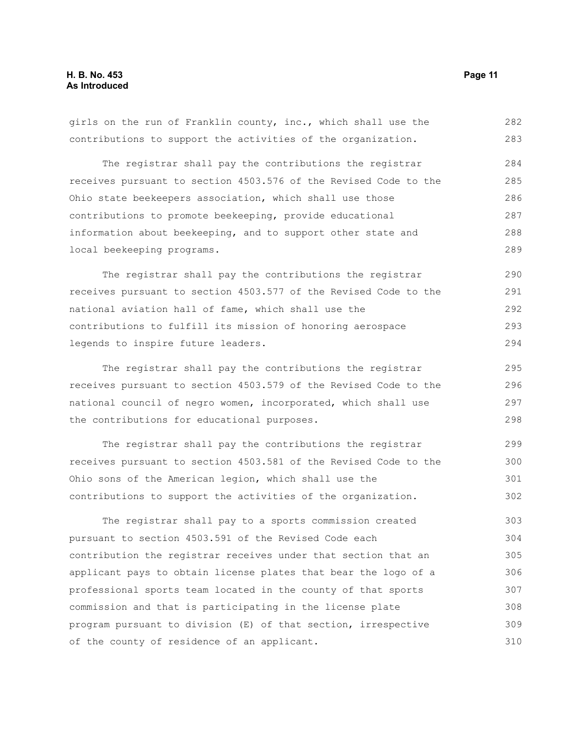girls on the run of Franklin county, inc., which shall use the contributions to support the activities of the organization. 282 283

The registrar shall pay the contributions the registrar receives pursuant to section 4503.576 of the Revised Code to the Ohio state beekeepers association, which shall use those contributions to promote beekeeping, provide educational information about beekeeping, and to support other state and local beekeeping programs. 284 285 286 287 288 289

The registrar shall pay the contributions the registrar receives pursuant to section 4503.577 of the Revised Code to the national aviation hall of fame, which shall use the contributions to fulfill its mission of honoring aerospace legends to inspire future leaders. 290 291 292 293 294

The registrar shall pay the contributions the registrar receives pursuant to section 4503.579 of the Revised Code to the national council of negro women, incorporated, which shall use the contributions for educational purposes.

The registrar shall pay the contributions the registrar receives pursuant to section 4503.581 of the Revised Code to the Ohio sons of the American legion, which shall use the contributions to support the activities of the organization. 299 300 301 302

The registrar shall pay to a sports commission created pursuant to section 4503.591 of the Revised Code each contribution the registrar receives under that section that an applicant pays to obtain license plates that bear the logo of a professional sports team located in the county of that sports commission and that is participating in the license plate program pursuant to division (E) of that section, irrespective of the county of residence of an applicant. 303 304 305 306 307 308 309 310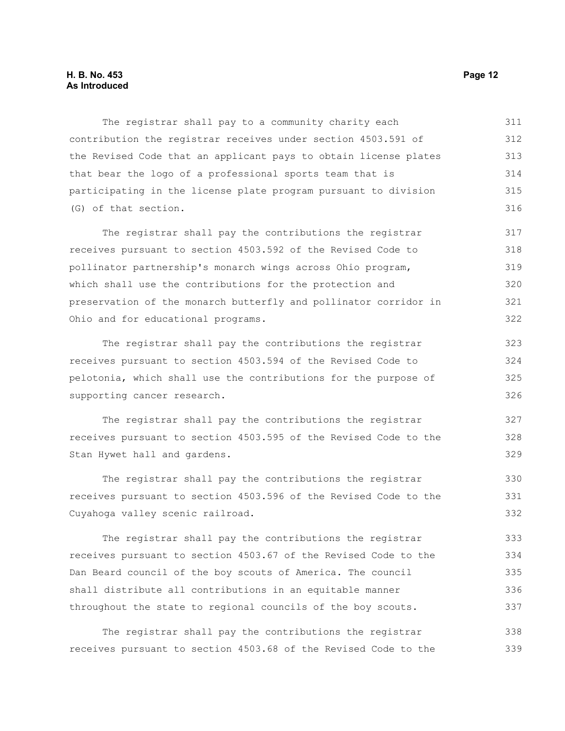The registrar shall pay to a community charity each contribution the registrar receives under section 4503.591 of the Revised Code that an applicant pays to obtain license plates that bear the logo of a professional sports team that is participating in the license plate program pursuant to division (G) of that section. 311 312 313 314 315 316

The registrar shall pay the contributions the registrar receives pursuant to section 4503.592 of the Revised Code to pollinator partnership's monarch wings across Ohio program, which shall use the contributions for the protection and preservation of the monarch butterfly and pollinator corridor in Ohio and for educational programs. 317 318 319 320 321 322

The registrar shall pay the contributions the registrar receives pursuant to section 4503.594 of the Revised Code to pelotonia, which shall use the contributions for the purpose of supporting cancer research. 323 324 325 326

The registrar shall pay the contributions the registrar receives pursuant to section 4503.595 of the Revised Code to the Stan Hywet hall and gardens.

The registrar shall pay the contributions the registrar receives pursuant to section 4503.596 of the Revised Code to the Cuyahoga valley scenic railroad. 330 331 332

The registrar shall pay the contributions the registrar receives pursuant to section 4503.67 of the Revised Code to the Dan Beard council of the boy scouts of America. The council shall distribute all contributions in an equitable manner throughout the state to regional councils of the boy scouts. 333 334 335 336 337

The registrar shall pay the contributions the registrar receives pursuant to section 4503.68 of the Revised Code to the 338 339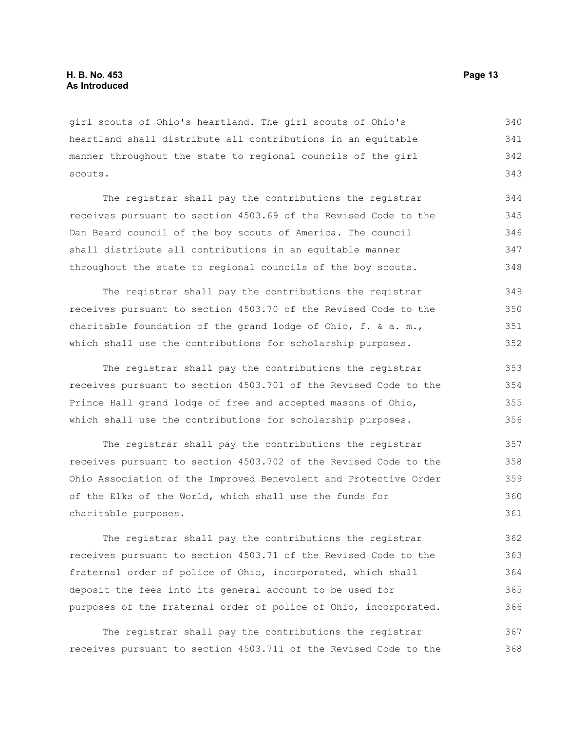girl scouts of Ohio's heartland. The girl scouts of Ohio's heartland shall distribute all contributions in an equitable manner throughout the state to regional councils of the girl scouts. 340 341 342 343

The registrar shall pay the contributions the registrar receives pursuant to section 4503.69 of the Revised Code to the Dan Beard council of the boy scouts of America. The council shall distribute all contributions in an equitable manner throughout the state to regional councils of the boy scouts. 344 345 346 347 348

The registrar shall pay the contributions the registrar receives pursuant to section 4503.70 of the Revised Code to the charitable foundation of the grand lodge of Ohio,  $f. \&a. m.$ which shall use the contributions for scholarship purposes. 349 350 351 352

The registrar shall pay the contributions the registrar receives pursuant to section 4503.701 of the Revised Code to the Prince Hall grand lodge of free and accepted masons of Ohio, which shall use the contributions for scholarship purposes. 353 354 355 356

The registrar shall pay the contributions the registrar receives pursuant to section 4503.702 of the Revised Code to the Ohio Association of the Improved Benevolent and Protective Order of the Elks of the World, which shall use the funds for charitable purposes. 357 358 359 360 361

The registrar shall pay the contributions the registrar receives pursuant to section 4503.71 of the Revised Code to the fraternal order of police of Ohio, incorporated, which shall deposit the fees into its general account to be used for purposes of the fraternal order of police of Ohio, incorporated. 362 363 364 365 366

The registrar shall pay the contributions the registrar receives pursuant to section 4503.711 of the Revised Code to the 367 368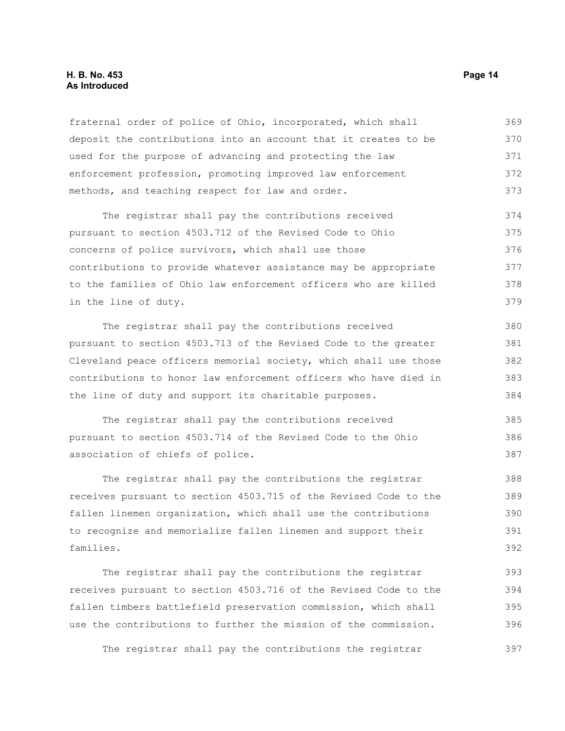#### **H. B. No. 453 Page 14 As Introduced**

fraternal order of police of Ohio, incorporated, which shall deposit the contributions into an account that it creates to be used for the purpose of advancing and protecting the law enforcement profession, promoting improved law enforcement methods, and teaching respect for law and order. 369 370 371 372 373

The registrar shall pay the contributions received pursuant to section 4503.712 of the Revised Code to Ohio concerns of police survivors, which shall use those contributions to provide whatever assistance may be appropriate to the families of Ohio law enforcement officers who are killed in the line of duty. 374 375 376 377 378 379

The registrar shall pay the contributions received pursuant to section 4503.713 of the Revised Code to the greater Cleveland peace officers memorial society, which shall use those contributions to honor law enforcement officers who have died in the line of duty and support its charitable purposes. 380 381 382 383 384

The registrar shall pay the contributions received pursuant to section 4503.714 of the Revised Code to the Ohio association of chiefs of police. 385 386 387

The registrar shall pay the contributions the registrar receives pursuant to section 4503.715 of the Revised Code to the fallen linemen organization, which shall use the contributions to recognize and memorialize fallen linemen and support their families. 388 389 390 391 392

The registrar shall pay the contributions the registrar receives pursuant to section 4503.716 of the Revised Code to the fallen timbers battlefield preservation commission, which shall use the contributions to further the mission of the commission. 393 394 395 396

The registrar shall pay the contributions the registrar 397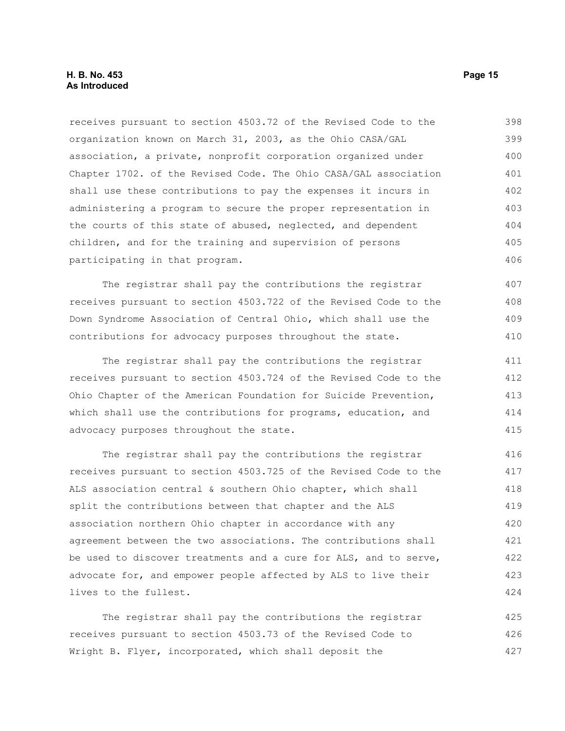#### **H. B. No. 453 Page 15 As Introduced**

receives pursuant to section 4503.72 of the Revised Code to the organization known on March 31, 2003, as the Ohio CASA/GAL association, a private, nonprofit corporation organized under Chapter 1702. of the Revised Code. The Ohio CASA/GAL association shall use these contributions to pay the expenses it incurs in administering a program to secure the proper representation in the courts of this state of abused, neglected, and dependent children, and for the training and supervision of persons participating in that program. 398 399 400 401 402 403 404 405 406

The registrar shall pay the contributions the registrar receives pursuant to section 4503.722 of the Revised Code to the Down Syndrome Association of Central Ohio, which shall use the contributions for advocacy purposes throughout the state.

The registrar shall pay the contributions the registrar receives pursuant to section 4503.724 of the Revised Code to the Ohio Chapter of the American Foundation for Suicide Prevention, which shall use the contributions for programs, education, and advocacy purposes throughout the state. 411 412 413 414 415

The registrar shall pay the contributions the registrar receives pursuant to section 4503.725 of the Revised Code to the ALS association central & southern Ohio chapter, which shall split the contributions between that chapter and the ALS association northern Ohio chapter in accordance with any agreement between the two associations. The contributions shall be used to discover treatments and a cure for ALS, and to serve, advocate for, and empower people affected by ALS to live their lives to the fullest. 416 417 418 419 420 421 422 423 424

The registrar shall pay the contributions the registrar receives pursuant to section 4503.73 of the Revised Code to Wright B. Flyer, incorporated, which shall deposit the 425 426 427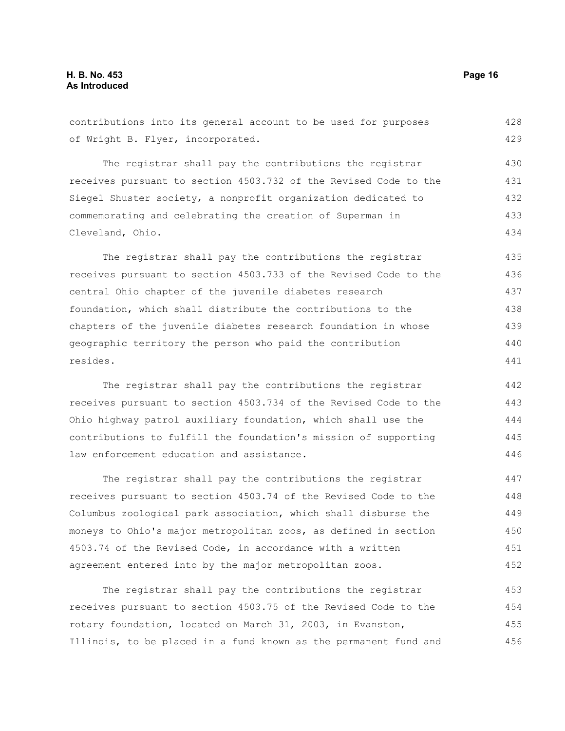contributions into its general account to be used for purposes of Wright B. Flyer, incorporated. 428 429

The registrar shall pay the contributions the registrar receives pursuant to section 4503.732 of the Revised Code to the Siegel Shuster society, a nonprofit organization dedicated to commemorating and celebrating the creation of Superman in Cleveland, Ohio. 430 431 432 433 434

The registrar shall pay the contributions the registrar receives pursuant to section 4503.733 of the Revised Code to the central Ohio chapter of the juvenile diabetes research foundation, which shall distribute the contributions to the chapters of the juvenile diabetes research foundation in whose geographic territory the person who paid the contribution resides. 435 436 437 438 439 440 441

The registrar shall pay the contributions the registrar receives pursuant to section 4503.734 of the Revised Code to the Ohio highway patrol auxiliary foundation, which shall use the contributions to fulfill the foundation's mission of supporting law enforcement education and assistance.

The registrar shall pay the contributions the registrar receives pursuant to section 4503.74 of the Revised Code to the Columbus zoological park association, which shall disburse the moneys to Ohio's major metropolitan zoos, as defined in section 4503.74 of the Revised Code, in accordance with a written agreement entered into by the major metropolitan zoos. 447 448 449 450 451 452

The registrar shall pay the contributions the registrar receives pursuant to section 4503.75 of the Revised Code to the rotary foundation, located on March 31, 2003, in Evanston, Illinois, to be placed in a fund known as the permanent fund and 453 454 455 456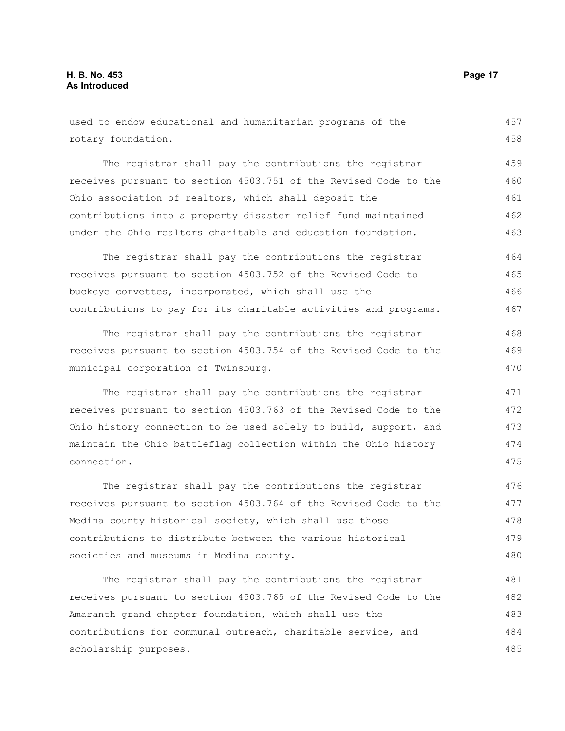used to endow educational and humanitarian programs of the rotary foundation. The registrar shall pay the contributions the registrar receives pursuant to section 4503.751 of the Revised Code to the Ohio association of realtors, which shall deposit the contributions into a property disaster relief fund maintained under the Ohio realtors charitable and education foundation. The registrar shall pay the contributions the registrar receives pursuant to section 4503.752 of the Revised Code to buckeye corvettes, incorporated, which shall use the contributions to pay for its charitable activities and programs. The registrar shall pay the contributions the registrar receives pursuant to section 4503.754 of the Revised Code to the municipal corporation of Twinsburg. The registrar shall pay the contributions the registrar receives pursuant to section 4503.763 of the Revised Code to the Ohio history connection to be used solely to build, support, and maintain the Ohio battleflag collection within the Ohio history connection. The registrar shall pay the contributions the registrar receives pursuant to section 4503.764 of the Revised Code to the Medina county historical society, which shall use those 457 458 459 460 461 462 463 464 465 466 467 468 469 470 471 472 473 474 475 476 477 478

The registrar shall pay the contributions the registrar receives pursuant to section 4503.765 of the Revised Code to the Amaranth grand chapter foundation, which shall use the contributions for communal outreach, charitable service, and scholarship purposes. 481 482 483 484 485

contributions to distribute between the various historical

societies and museums in Medina county.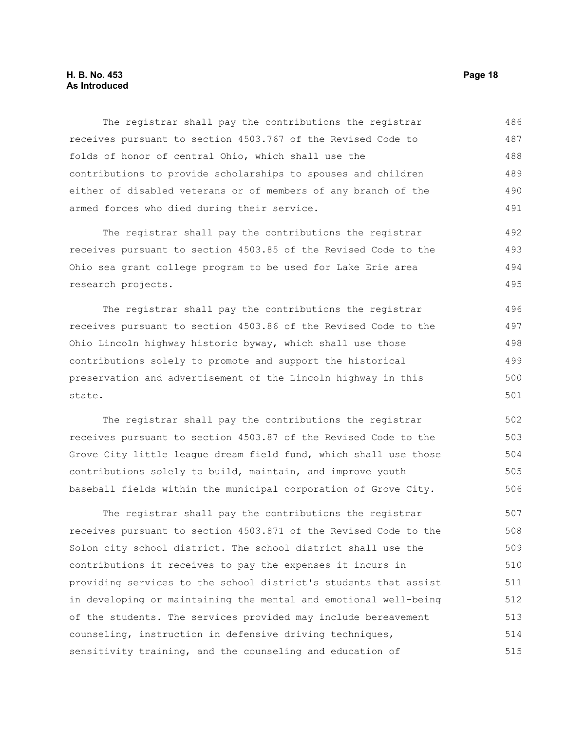#### **H. B. No. 453 Page 18 As Introduced**

The registrar shall pay the contributions the registrar receives pursuant to section 4503.767 of the Revised Code to folds of honor of central Ohio, which shall use the contributions to provide scholarships to spouses and children either of disabled veterans or of members of any branch of the armed forces who died during their service. 486 487 488 489 490 491

The registrar shall pay the contributions the registrar receives pursuant to section 4503.85 of the Revised Code to the Ohio sea grant college program to be used for Lake Erie area research projects. 492 493 494 495

The registrar shall pay the contributions the registrar receives pursuant to section 4503.86 of the Revised Code to the Ohio Lincoln highway historic byway, which shall use those contributions solely to promote and support the historical preservation and advertisement of the Lincoln highway in this state. 496 497 498 499 500 501

The registrar shall pay the contributions the registrar receives pursuant to section 4503.87 of the Revised Code to the Grove City little league dream field fund, which shall use those contributions solely to build, maintain, and improve youth baseball fields within the municipal corporation of Grove City. 502 503 504 505 506

The registrar shall pay the contributions the registrar receives pursuant to section 4503.871 of the Revised Code to the Solon city school district. The school district shall use the contributions it receives to pay the expenses it incurs in providing services to the school district's students that assist in developing or maintaining the mental and emotional well-being of the students. The services provided may include bereavement counseling, instruction in defensive driving techniques, sensitivity training, and the counseling and education of 507 508 509 510 511 512 513 514 515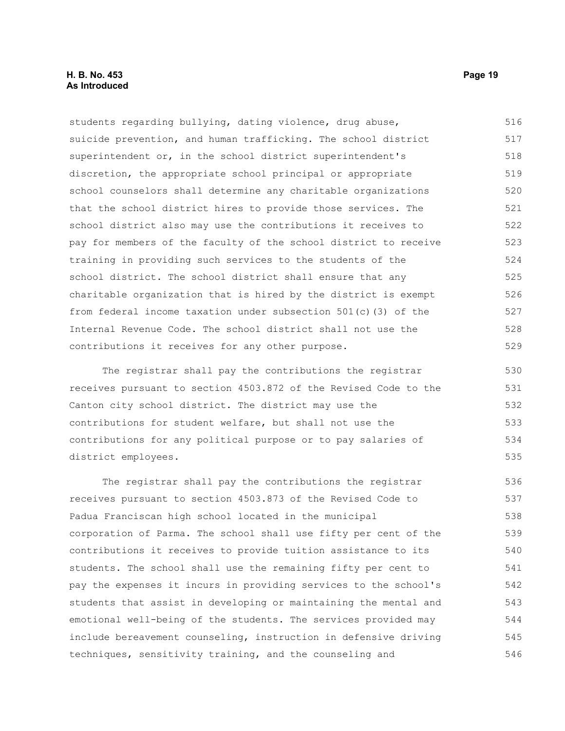#### **H. B. No. 453 Page 19 As Introduced**

students regarding bullying, dating violence, drug abuse, suicide prevention, and human trafficking. The school district superintendent or, in the school district superintendent's discretion, the appropriate school principal or appropriate school counselors shall determine any charitable organizations that the school district hires to provide those services. The school district also may use the contributions it receives to pay for members of the faculty of the school district to receive training in providing such services to the students of the school district. The school district shall ensure that any charitable organization that is hired by the district is exempt from federal income taxation under subsection 501(c)(3) of the Internal Revenue Code. The school district shall not use the contributions it receives for any other purpose. 516 517 518 519 520 521 522 523 524 525 526 527 528 529

The registrar shall pay the contributions the registrar receives pursuant to section 4503.872 of the Revised Code to the Canton city school district. The district may use the contributions for student welfare, but shall not use the contributions for any political purpose or to pay salaries of district employees.

The registrar shall pay the contributions the registrar receives pursuant to section 4503.873 of the Revised Code to Padua Franciscan high school located in the municipal corporation of Parma. The school shall use fifty per cent of the contributions it receives to provide tuition assistance to its students. The school shall use the remaining fifty per cent to pay the expenses it incurs in providing services to the school's students that assist in developing or maintaining the mental and emotional well-being of the students. The services provided may include bereavement counseling, instruction in defensive driving techniques, sensitivity training, and the counseling and 536 537 538 539 540 541 542 543 544 545 546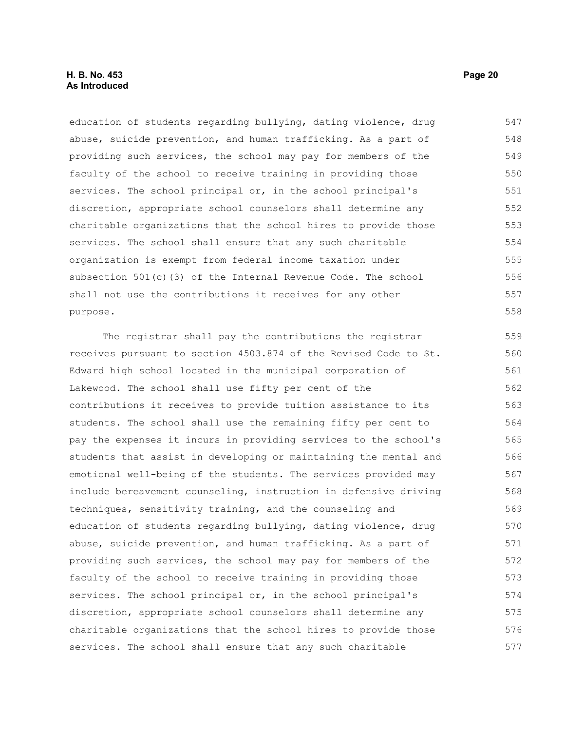#### **H. B. No. 453 Page 20 As Introduced**

education of students regarding bullying, dating violence, drug abuse, suicide prevention, and human trafficking. As a part of providing such services, the school may pay for members of the faculty of the school to receive training in providing those services. The school principal or, in the school principal's discretion, appropriate school counselors shall determine any charitable organizations that the school hires to provide those services. The school shall ensure that any such charitable organization is exempt from federal income taxation under subsection 501(c)(3) of the Internal Revenue Code. The school shall not use the contributions it receives for any other purpose. 547 548 549 550 551 552 553 554 555 556 557 558

The registrar shall pay the contributions the registrar receives pursuant to section 4503.874 of the Revised Code to St. Edward high school located in the municipal corporation of Lakewood. The school shall use fifty per cent of the contributions it receives to provide tuition assistance to its students. The school shall use the remaining fifty per cent to pay the expenses it incurs in providing services to the school's students that assist in developing or maintaining the mental and emotional well-being of the students. The services provided may include bereavement counseling, instruction in defensive driving techniques, sensitivity training, and the counseling and education of students regarding bullying, dating violence, drug abuse, suicide prevention, and human trafficking. As a part of providing such services, the school may pay for members of the faculty of the school to receive training in providing those services. The school principal or, in the school principal's discretion, appropriate school counselors shall determine any charitable organizations that the school hires to provide those services. The school shall ensure that any such charitable 559 560 561 562 563 564 565 566 567 568 569 570 571 572 573 574 575 576 577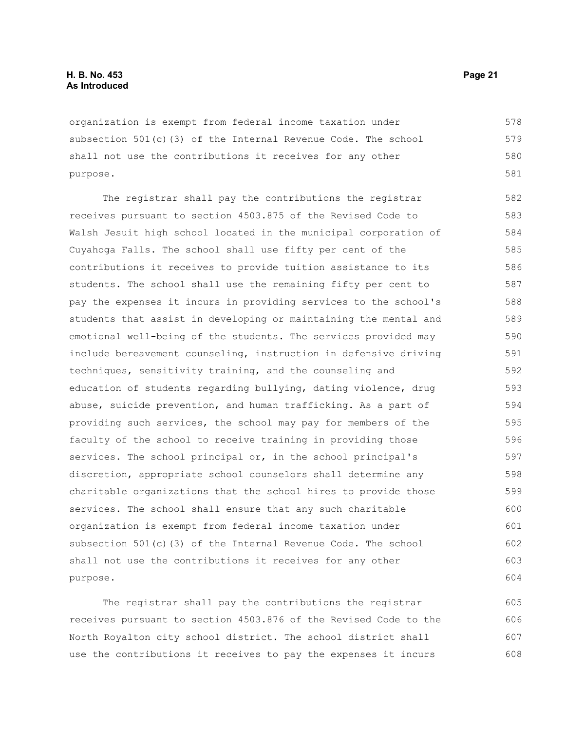organization is exempt from federal income taxation under subsection 501(c)(3) of the Internal Revenue Code. The school shall not use the contributions it receives for any other purpose. 578 579 580 581

The registrar shall pay the contributions the registrar receives pursuant to section 4503.875 of the Revised Code to Walsh Jesuit high school located in the municipal corporation of Cuyahoga Falls. The school shall use fifty per cent of the contributions it receives to provide tuition assistance to its students. The school shall use the remaining fifty per cent to pay the expenses it incurs in providing services to the school's students that assist in developing or maintaining the mental and emotional well-being of the students. The services provided may include bereavement counseling, instruction in defensive driving techniques, sensitivity training, and the counseling and education of students regarding bullying, dating violence, drug abuse, suicide prevention, and human trafficking. As a part of providing such services, the school may pay for members of the faculty of the school to receive training in providing those services. The school principal or, in the school principal's discretion, appropriate school counselors shall determine any charitable organizations that the school hires to provide those services. The school shall ensure that any such charitable organization is exempt from federal income taxation under subsection 501(c)(3) of the Internal Revenue Code. The school shall not use the contributions it receives for any other purpose. 582 583 584 585 586 587 588 589 590 591 592 593 594 595 596 597 598 599 600 601 602 603 604

The registrar shall pay the contributions the registrar receives pursuant to section 4503.876 of the Revised Code to the North Royalton city school district. The school district shall use the contributions it receives to pay the expenses it incurs 605 606 607 608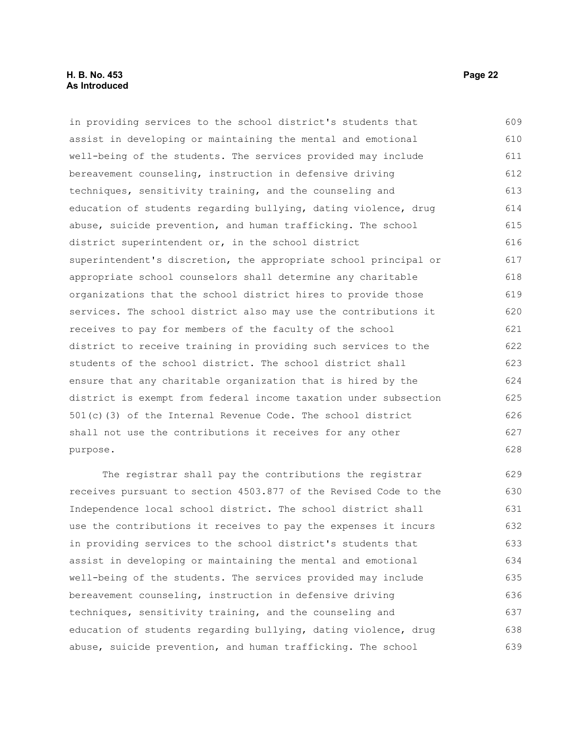#### **H. B. No. 453 Page 22 As Introduced**

in providing services to the school district's students that assist in developing or maintaining the mental and emotional well-being of the students. The services provided may include bereavement counseling, instruction in defensive driving techniques, sensitivity training, and the counseling and education of students regarding bullying, dating violence, drug abuse, suicide prevention, and human trafficking. The school district superintendent or, in the school district superintendent's discretion, the appropriate school principal or appropriate school counselors shall determine any charitable organizations that the school district hires to provide those services. The school district also may use the contributions it receives to pay for members of the faculty of the school district to receive training in providing such services to the students of the school district. The school district shall ensure that any charitable organization that is hired by the district is exempt from federal income taxation under subsection 501(c)(3) of the Internal Revenue Code. The school district shall not use the contributions it receives for any other purpose. 609 610 611 612 613 614 615 616 617 618 619 620 621 622 623 624 625 626 627 628

The registrar shall pay the contributions the registrar receives pursuant to section 4503.877 of the Revised Code to the Independence local school district. The school district shall use the contributions it receives to pay the expenses it incurs in providing services to the school district's students that assist in developing or maintaining the mental and emotional well-being of the students. The services provided may include bereavement counseling, instruction in defensive driving techniques, sensitivity training, and the counseling and education of students regarding bullying, dating violence, drug abuse, suicide prevention, and human trafficking. The school 629 630 631 632 633 634 635 636 637 638 639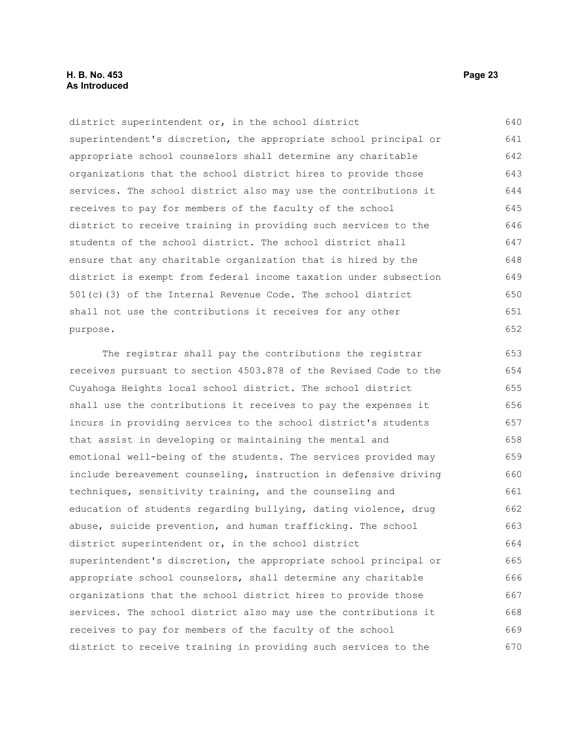#### **H. B. No. 453 Page 23 As Introduced**

district superintendent or, in the school district superintendent's discretion, the appropriate school principal or appropriate school counselors shall determine any charitable organizations that the school district hires to provide those services. The school district also may use the contributions it receives to pay for members of the faculty of the school district to receive training in providing such services to the students of the school district. The school district shall ensure that any charitable organization that is hired by the district is exempt from federal income taxation under subsection 501(c)(3) of the Internal Revenue Code. The school district shall not use the contributions it receives for any other purpose. 640 641 642 643 644 645 646 647 648 649 650 651 652

The registrar shall pay the contributions the registrar receives pursuant to section 4503.878 of the Revised Code to the Cuyahoga Heights local school district. The school district shall use the contributions it receives to pay the expenses it incurs in providing services to the school district's students that assist in developing or maintaining the mental and emotional well-being of the students. The services provided may include bereavement counseling, instruction in defensive driving techniques, sensitivity training, and the counseling and education of students regarding bullying, dating violence, drug abuse, suicide prevention, and human trafficking. The school district superintendent or, in the school district superintendent's discretion, the appropriate school principal or appropriate school counselors, shall determine any charitable organizations that the school district hires to provide those services. The school district also may use the contributions it receives to pay for members of the faculty of the school district to receive training in providing such services to the 653 654 655 656 657 658 659 660 661 662 663 664 665 666 667 668 669 670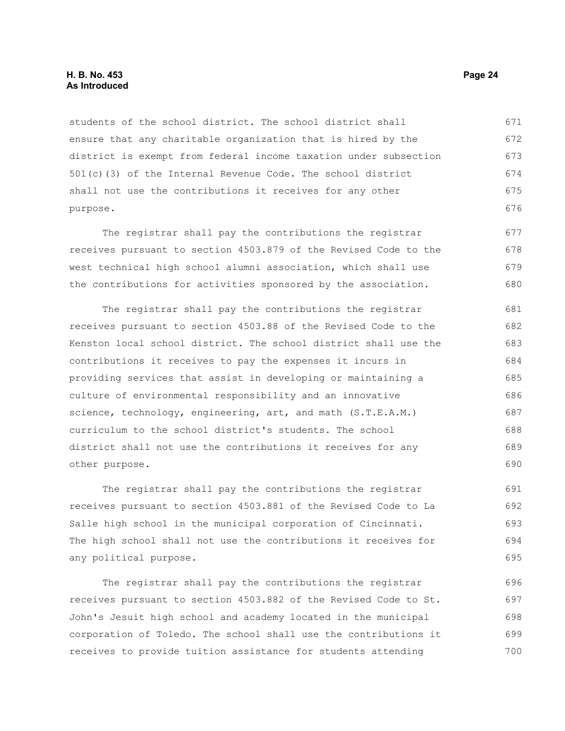students of the school district. The school district shall ensure that any charitable organization that is hired by the district is exempt from federal income taxation under subsection 501(c)(3) of the Internal Revenue Code. The school district shall not use the contributions it receives for any other purpose. 671 672 673 674 675 676

The registrar shall pay the contributions the registrar receives pursuant to section 4503.879 of the Revised Code to the west technical high school alumni association, which shall use the contributions for activities sponsored by the association. 677 678 679 680

The registrar shall pay the contributions the registrar receives pursuant to section 4503.88 of the Revised Code to the Kenston local school district. The school district shall use the contributions it receives to pay the expenses it incurs in providing services that assist in developing or maintaining a culture of environmental responsibility and an innovative science, technology, engineering, art, and math (S.T.E.A.M.) curriculum to the school district's students. The school district shall not use the contributions it receives for any other purpose. 681 682 683 684 685 686 687 688 689 690

The registrar shall pay the contributions the registrar receives pursuant to section 4503.881 of the Revised Code to La Salle high school in the municipal corporation of Cincinnati. The high school shall not use the contributions it receives for any political purpose. 691 692 693 694 695

The registrar shall pay the contributions the registrar receives pursuant to section 4503.882 of the Revised Code to St. John's Jesuit high school and academy located in the municipal corporation of Toledo. The school shall use the contributions it receives to provide tuition assistance for students attending 696 697 698 699 700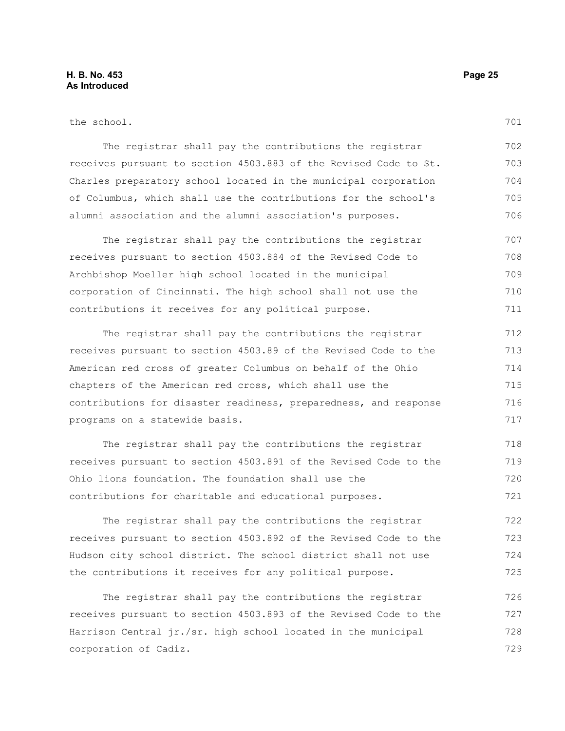the school.

The registrar shall pay the contributions the registrar receives pursuant to section 4503.883 of the Revised Code to St. Charles preparatory school located in the municipal corporation of Columbus, which shall use the contributions for the school's alumni association and the alumni association's purposes. 702 703 704 705 706

The registrar shall pay the contributions the registrar receives pursuant to section 4503.884 of the Revised Code to Archbishop Moeller high school located in the municipal corporation of Cincinnati. The high school shall not use the contributions it receives for any political purpose. 707 708 709 710 711

The registrar shall pay the contributions the registrar receives pursuant to section 4503.89 of the Revised Code to the American red cross of greater Columbus on behalf of the Ohio chapters of the American red cross, which shall use the contributions for disaster readiness, preparedness, and response programs on a statewide basis. 712 713 714 715 716 717

The registrar shall pay the contributions the registrar receives pursuant to section 4503.891 of the Revised Code to the Ohio lions foundation. The foundation shall use the contributions for charitable and educational purposes. 718 719 720 721

The registrar shall pay the contributions the registrar receives pursuant to section 4503.892 of the Revised Code to the Hudson city school district. The school district shall not use the contributions it receives for any political purpose. 722 723 724 725

The registrar shall pay the contributions the registrar receives pursuant to section 4503.893 of the Revised Code to the Harrison Central jr./sr. high school located in the municipal corporation of Cadiz. 726 727 728 729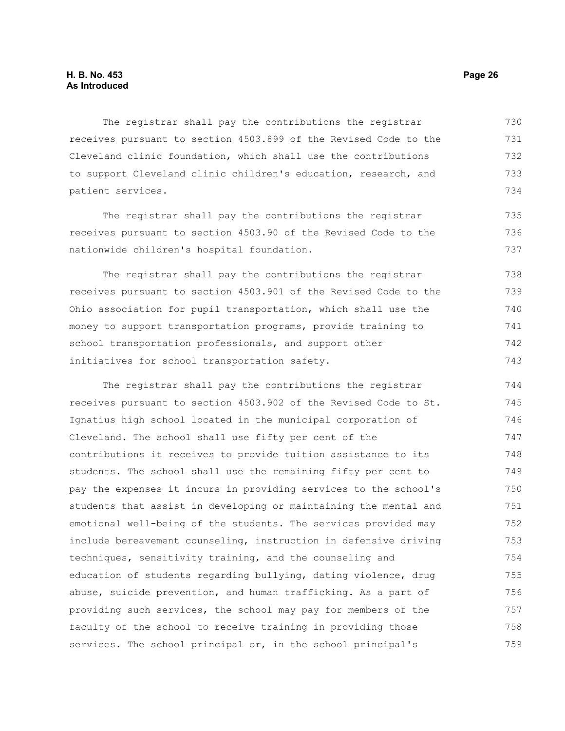The registrar shall pay the contributions the registrar receives pursuant to section 4503.899 of the Revised Code to the Cleveland clinic foundation, which shall use the contributions to support Cleveland clinic children's education, research, and patient services. 730 731 732 733 734

The registrar shall pay the contributions the registrar receives pursuant to section 4503.90 of the Revised Code to the nationwide children's hospital foundation.

The registrar shall pay the contributions the registrar receives pursuant to section 4503.901 of the Revised Code to the Ohio association for pupil transportation, which shall use the money to support transportation programs, provide training to school transportation professionals, and support other initiatives for school transportation safety. 738 739 740 741 742 743

The registrar shall pay the contributions the registrar receives pursuant to section 4503.902 of the Revised Code to St. Ignatius high school located in the municipal corporation of Cleveland. The school shall use fifty per cent of the contributions it receives to provide tuition assistance to its students. The school shall use the remaining fifty per cent to pay the expenses it incurs in providing services to the school's students that assist in developing or maintaining the mental and emotional well-being of the students. The services provided may include bereavement counseling, instruction in defensive driving techniques, sensitivity training, and the counseling and education of students regarding bullying, dating violence, drug abuse, suicide prevention, and human trafficking. As a part of providing such services, the school may pay for members of the faculty of the school to receive training in providing those services. The school principal or, in the school principal's 744 745 746 747 748 749 750 751 752 753 754 755 756 757 758 759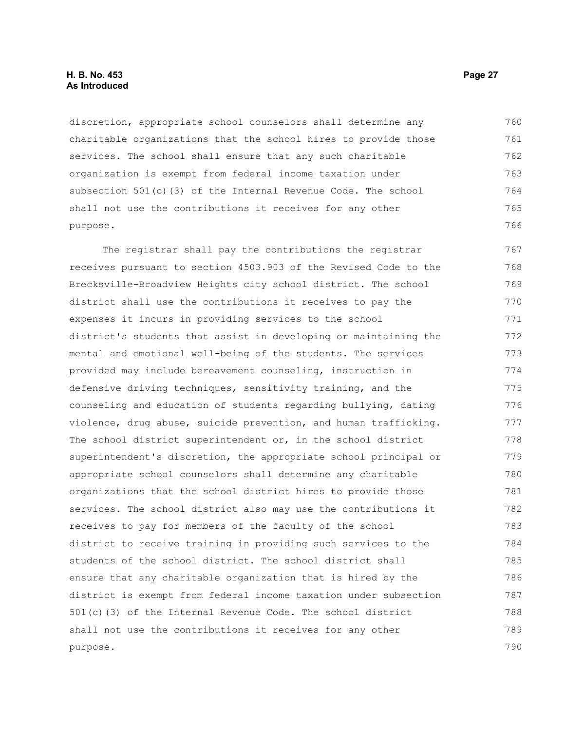#### **H. B. No. 453 Page 27 As Introduced**

discretion, appropriate school counselors shall determine any charitable organizations that the school hires to provide those services. The school shall ensure that any such charitable organization is exempt from federal income taxation under subsection 501(c)(3) of the Internal Revenue Code. The school shall not use the contributions it receives for any other purpose. 760 761 762 763 764 765 766

The registrar shall pay the contributions the registrar receives pursuant to section 4503.903 of the Revised Code to the Brecksville-Broadview Heights city school district. The school district shall use the contributions it receives to pay the expenses it incurs in providing services to the school district's students that assist in developing or maintaining the mental and emotional well-being of the students. The services provided may include bereavement counseling, instruction in defensive driving techniques, sensitivity training, and the counseling and education of students regarding bullying, dating violence, drug abuse, suicide prevention, and human trafficking. The school district superintendent or, in the school district superintendent's discretion, the appropriate school principal or appropriate school counselors shall determine any charitable organizations that the school district hires to provide those services. The school district also may use the contributions it receives to pay for members of the faculty of the school district to receive training in providing such services to the students of the school district. The school district shall ensure that any charitable organization that is hired by the district is exempt from federal income taxation under subsection 501(c)(3) of the Internal Revenue Code. The school district shall not use the contributions it receives for any other purpose. 767 768 769 770 771 772 773 774 775 776 777 778 779 780 781 782 783 784 785 786 787 788 789 790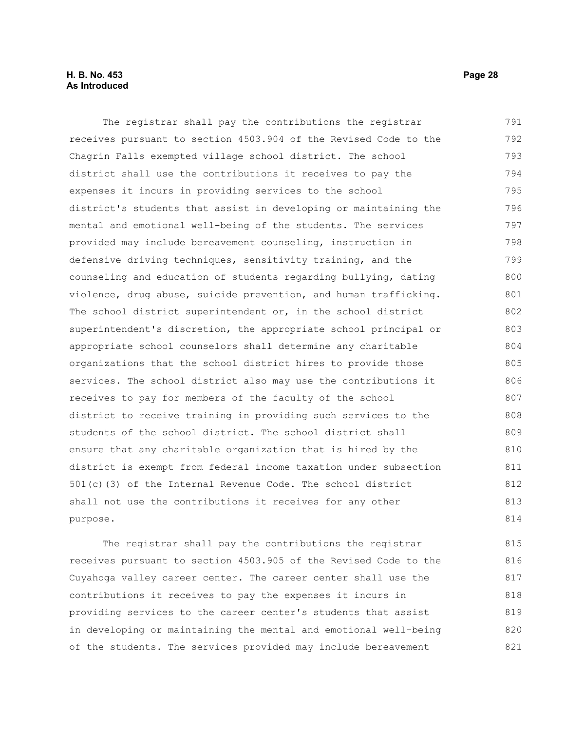#### **H. B. No. 453 Page 28 As Introduced**

The registrar shall pay the contributions the registrar receives pursuant to section 4503.904 of the Revised Code to the Chagrin Falls exempted village school district. The school district shall use the contributions it receives to pay the expenses it incurs in providing services to the school district's students that assist in developing or maintaining the mental and emotional well-being of the students. The services provided may include bereavement counseling, instruction in defensive driving techniques, sensitivity training, and the counseling and education of students regarding bullying, dating violence, drug abuse, suicide prevention, and human trafficking. The school district superintendent or, in the school district superintendent's discretion, the appropriate school principal or appropriate school counselors shall determine any charitable organizations that the school district hires to provide those services. The school district also may use the contributions it receives to pay for members of the faculty of the school district to receive training in providing such services to the students of the school district. The school district shall ensure that any charitable organization that is hired by the district is exempt from federal income taxation under subsection 501(c)(3) of the Internal Revenue Code. The school district shall not use the contributions it receives for any other purpose. 791 792 793 794 795 796 797 798 799 800 801 802 803 804 805 806 807 808 809 810 811 812 813 814

The registrar shall pay the contributions the registrar receives pursuant to section 4503.905 of the Revised Code to the Cuyahoga valley career center. The career center shall use the contributions it receives to pay the expenses it incurs in providing services to the career center's students that assist in developing or maintaining the mental and emotional well-being of the students. The services provided may include bereavement 815 816 817 818 819 820 821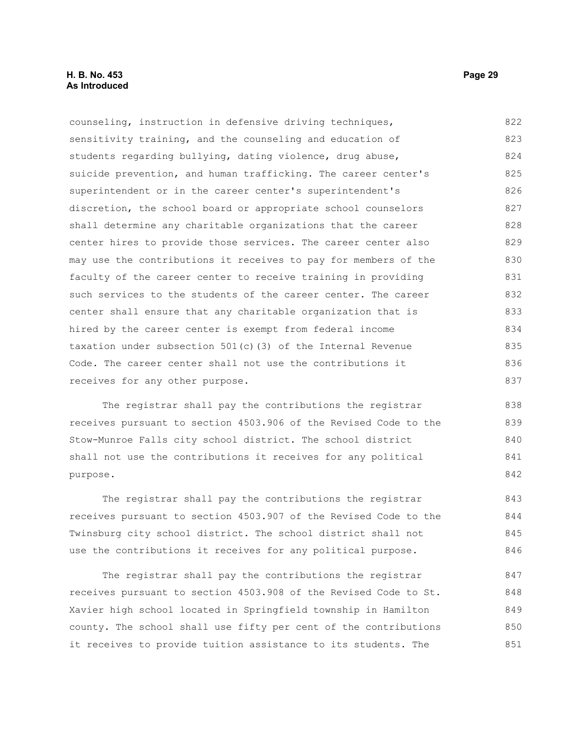counseling, instruction in defensive driving techniques, sensitivity training, and the counseling and education of students regarding bullying, dating violence, drug abuse, suicide prevention, and human trafficking. The career center's superintendent or in the career center's superintendent's discretion, the school board or appropriate school counselors shall determine any charitable organizations that the career center hires to provide those services. The career center also may use the contributions it receives to pay for members of the faculty of the career center to receive training in providing such services to the students of the career center. The career center shall ensure that any charitable organization that is hired by the career center is exempt from federal income taxation under subsection 501(c)(3) of the Internal Revenue Code. The career center shall not use the contributions it receives for any other purpose. 822 823 824 825 826 827 828 829 830 831 832 833 834 835 836 837

The registrar shall pay the contributions the registrar receives pursuant to section 4503.906 of the Revised Code to the Stow-Munroe Falls city school district. The school district shall not use the contributions it receives for any political purpose.

The registrar shall pay the contributions the registrar receives pursuant to section 4503.907 of the Revised Code to the Twinsburg city school district. The school district shall not use the contributions it receives for any political purpose. 843 844 845 846

The registrar shall pay the contributions the registrar receives pursuant to section 4503.908 of the Revised Code to St. Xavier high school located in Springfield township in Hamilton county. The school shall use fifty per cent of the contributions it receives to provide tuition assistance to its students. The 847 848 849 850 851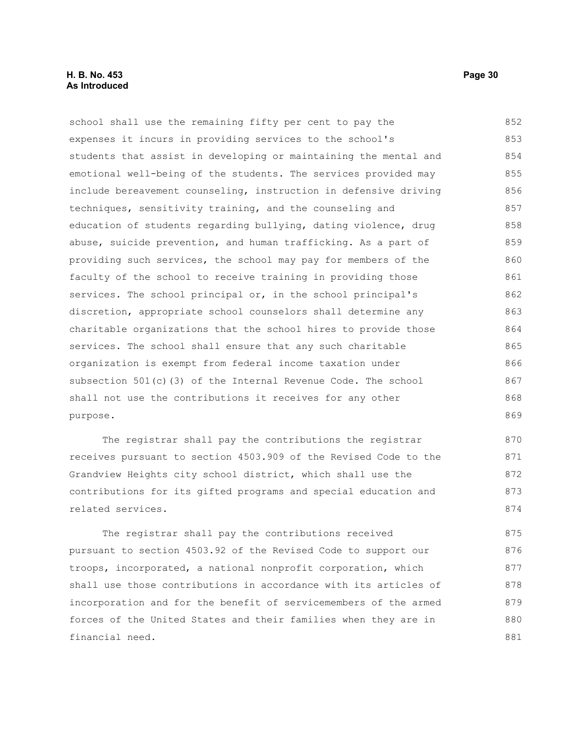#### **H. B. No. 453 Page 30 As Introduced**

school shall use the remaining fifty per cent to pay the expenses it incurs in providing services to the school's students that assist in developing or maintaining the mental and emotional well-being of the students. The services provided may include bereavement counseling, instruction in defensive driving techniques, sensitivity training, and the counseling and education of students regarding bullying, dating violence, drug abuse, suicide prevention, and human trafficking. As a part of providing such services, the school may pay for members of the faculty of the school to receive training in providing those services. The school principal or, in the school principal's discretion, appropriate school counselors shall determine any charitable organizations that the school hires to provide those services. The school shall ensure that any such charitable organization is exempt from federal income taxation under subsection 501(c)(3) of the Internal Revenue Code. The school shall not use the contributions it receives for any other purpose. 852 853 854 855 856 857 858 859 860 861 862 863 864 865 866 867 868 869

The registrar shall pay the contributions the registrar receives pursuant to section 4503.909 of the Revised Code to the Grandview Heights city school district, which shall use the contributions for its gifted programs and special education and related services. 870 871 872 873 874

The registrar shall pay the contributions received pursuant to section 4503.92 of the Revised Code to support our troops, incorporated, a national nonprofit corporation, which shall use those contributions in accordance with its articles of incorporation and for the benefit of servicemembers of the armed forces of the United States and their families when they are in financial need. 875 876 877 878 879 880 881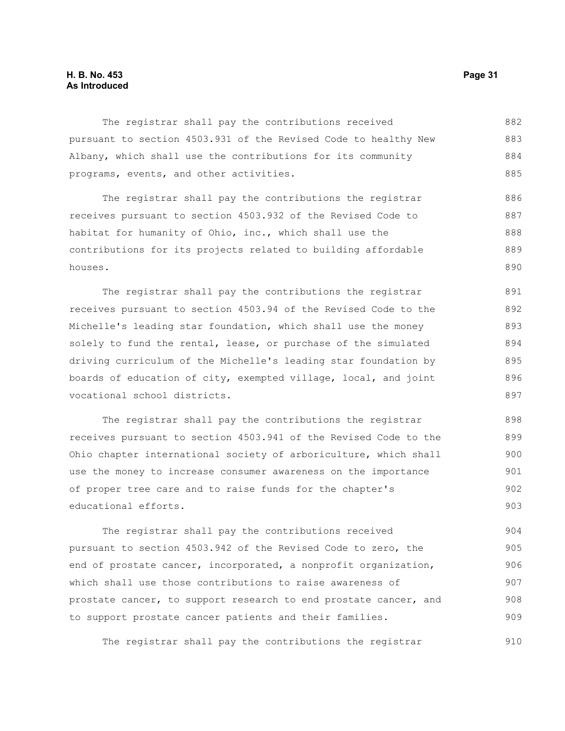#### **H. B. No. 453 Page 31 As Introduced**

The registrar shall pay the contributions received pursuant to section 4503.931 of the Revised Code to healthy New Albany, which shall use the contributions for its community programs, events, and other activities. 882 883 884 885

The registrar shall pay the contributions the registrar receives pursuant to section 4503.932 of the Revised Code to habitat for humanity of Ohio, inc., which shall use the contributions for its projects related to building affordable houses. 886 887 888 889 890

The registrar shall pay the contributions the registrar receives pursuant to section 4503.94 of the Revised Code to the Michelle's leading star foundation, which shall use the money solely to fund the rental, lease, or purchase of the simulated driving curriculum of the Michelle's leading star foundation by boards of education of city, exempted village, local, and joint vocational school districts. 891 892 893 894 895 896 897

The registrar shall pay the contributions the registrar receives pursuant to section 4503.941 of the Revised Code to the Ohio chapter international society of arboriculture, which shall use the money to increase consumer awareness on the importance of proper tree care and to raise funds for the chapter's educational efforts. 898 899 900 901 902 903

The registrar shall pay the contributions received pursuant to section 4503.942 of the Revised Code to zero, the end of prostate cancer, incorporated, a nonprofit organization, which shall use those contributions to raise awareness of prostate cancer, to support research to end prostate cancer, and to support prostate cancer patients and their families. 904 905 906 907 908 909

The registrar shall pay the contributions the registrar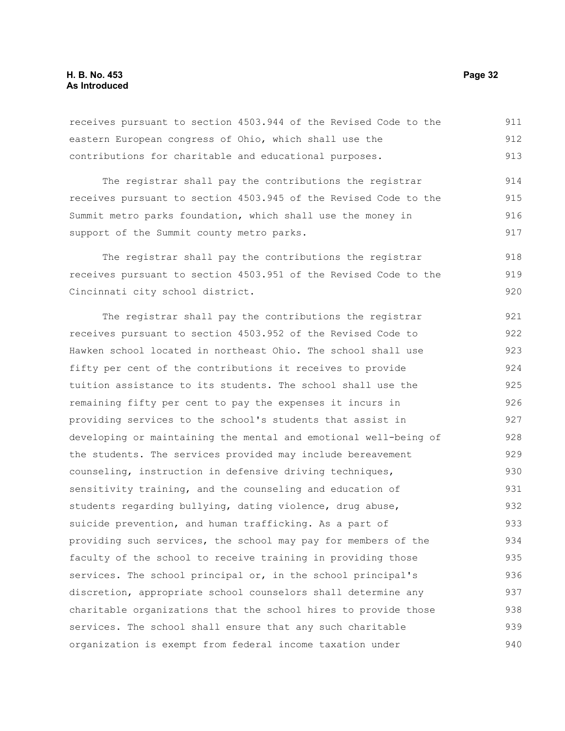| eastern European congress of Ohio, which shall use the           | 912 |
|------------------------------------------------------------------|-----|
| contributions for charitable and educational purposes.           | 913 |
| The registrar shall pay the contributions the registrar          | 914 |
| receives pursuant to section 4503.945 of the Revised Code to the | 915 |
| Summit metro parks foundation, which shall use the money in      | 916 |
| support of the Summit county metro parks.                        | 917 |
| The registrar shall pay the contributions the registrar          | 918 |
| receives pursuant to section 4503.951 of the Revised Code to the | 919 |
| Cincinnati city school district.                                 | 920 |
| The registrar shall pay the contributions the registrar          | 921 |
| receives pursuant to section 4503.952 of the Revised Code to     | 922 |
| Hawken school located in northeast Ohio. The school shall use    | 923 |
| fifty per cent of the contributions it receives to provide       | 924 |
| tuition assistance to its students. The school shall use the     | 925 |
| remaining fifty per cent to pay the expenses it incurs in        | 926 |
| providing services to the school's students that assist in       | 927 |
| developing or maintaining the mental and emotional well-being of | 928 |
| the students. The services provided may include bereavement      | 929 |
| counseling, instruction in defensive driving techniques,         | 930 |
| sensitivity training, and the counseling and education of        | 931 |
| students regarding bullying, dating violence, drug abuse,        | 932 |
| suicide prevention, and human trafficking. As a part of          | 933 |
| providing such services, the school may pay for members of the   | 934 |
| faculty of the school to receive training in providing those     | 935 |
| services. The school principal or, in the school principal's     | 936 |
|                                                                  |     |

discretion, appropriate school counselors shall determine any charitable organizations that the school hires to provide those

services. The school shall ensure that any such charitable organization is exempt from federal income taxation under

receives pursuant to section 4503.944 of the Revised Code to the eastern European congress of Ohio, which shall use the 911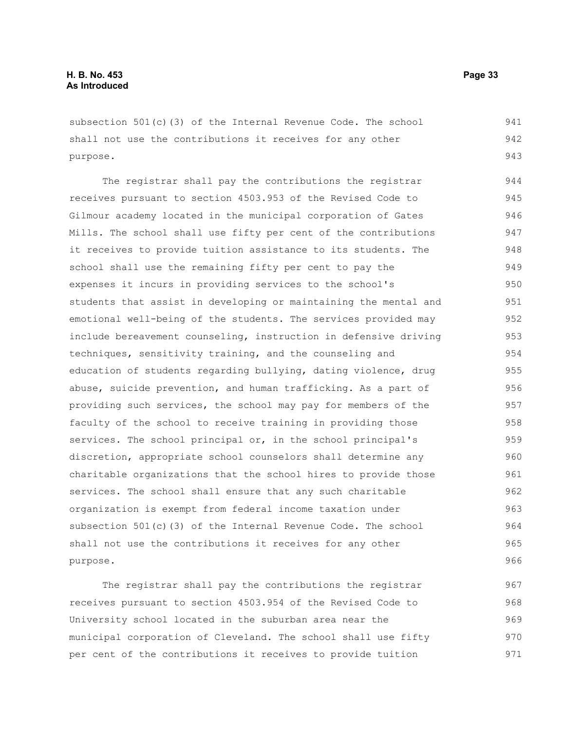subsection 501(c)(3) of the Internal Revenue Code. The school shall not use the contributions it receives for any other purpose.

The registrar shall pay the contributions the registrar receives pursuant to section 4503.953 of the Revised Code to Gilmour academy located in the municipal corporation of Gates Mills. The school shall use fifty per cent of the contributions it receives to provide tuition assistance to its students. The school shall use the remaining fifty per cent to pay the expenses it incurs in providing services to the school's students that assist in developing or maintaining the mental and emotional well-being of the students. The services provided may include bereavement counseling, instruction in defensive driving techniques, sensitivity training, and the counseling and education of students regarding bullying, dating violence, drug abuse, suicide prevention, and human trafficking. As a part of providing such services, the school may pay for members of the faculty of the school to receive training in providing those services. The school principal or, in the school principal's discretion, appropriate school counselors shall determine any charitable organizations that the school hires to provide those services. The school shall ensure that any such charitable organization is exempt from federal income taxation under subsection 501(c)(3) of the Internal Revenue Code. The school shall not use the contributions it receives for any other purpose. 944 945 946 947 948 949 950 951 952 953 954 955 956 957 958 959 960 961 962 963 964 965 966

The registrar shall pay the contributions the registrar receives pursuant to section 4503.954 of the Revised Code to University school located in the suburban area near the municipal corporation of Cleveland. The school shall use fifty per cent of the contributions it receives to provide tuition 967 968 969 970 971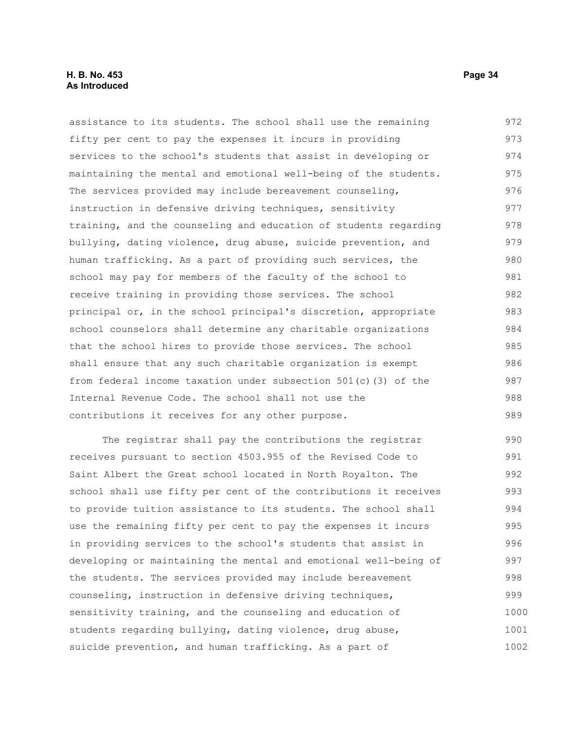#### **H. B. No. 453 Page 34 As Introduced**

assistance to its students. The school shall use the remaining fifty per cent to pay the expenses it incurs in providing services to the school's students that assist in developing or maintaining the mental and emotional well-being of the students. The services provided may include bereavement counseling, instruction in defensive driving techniques, sensitivity training, and the counseling and education of students regarding bullying, dating violence, drug abuse, suicide prevention, and human trafficking. As a part of providing such services, the school may pay for members of the faculty of the school to receive training in providing those services. The school principal or, in the school principal's discretion, appropriate school counselors shall determine any charitable organizations that the school hires to provide those services. The school shall ensure that any such charitable organization is exempt from federal income taxation under subsection 501(c)(3) of the Internal Revenue Code. The school shall not use the contributions it receives for any other purpose. 972 973 974 975 976 977 978 979 980 981 982 983 984 985 986 987 988 989

The registrar shall pay the contributions the registrar receives pursuant to section 4503.955 of the Revised Code to Saint Albert the Great school located in North Royalton. The school shall use fifty per cent of the contributions it receives to provide tuition assistance to its students. The school shall use the remaining fifty per cent to pay the expenses it incurs in providing services to the school's students that assist in developing or maintaining the mental and emotional well-being of the students. The services provided may include bereavement counseling, instruction in defensive driving techniques, sensitivity training, and the counseling and education of students regarding bullying, dating violence, drug abuse, suicide prevention, and human trafficking. As a part of 990 991 992 993 994 995 996 997 998 999 1000 1001 1002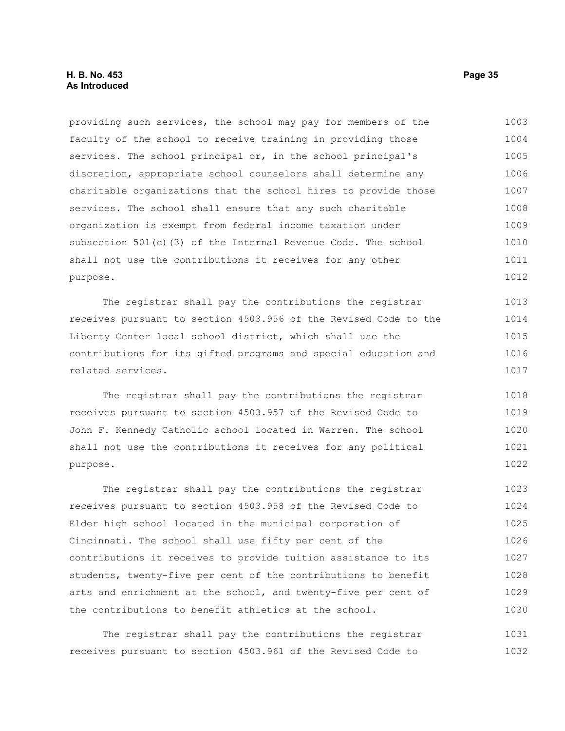providing such services, the school may pay for members of the faculty of the school to receive training in providing those services. The school principal or, in the school principal's discretion, appropriate school counselors shall determine any charitable organizations that the school hires to provide those services. The school shall ensure that any such charitable organization is exempt from federal income taxation under subsection 501(c)(3) of the Internal Revenue Code. The school shall not use the contributions it receives for any other purpose. 1003 1004 1005 1006 1007 1008 1009 1010 1011 1012

The registrar shall pay the contributions the registrar receives pursuant to section 4503.956 of the Revised Code to the Liberty Center local school district, which shall use the contributions for its gifted programs and special education and related services. 1013 1014 1015 1016 1017

The registrar shall pay the contributions the registrar receives pursuant to section 4503.957 of the Revised Code to John F. Kennedy Catholic school located in Warren. The school shall not use the contributions it receives for any political purpose. 1018 1019 1020 1021 1022

The registrar shall pay the contributions the registrar receives pursuant to section 4503.958 of the Revised Code to Elder high school located in the municipal corporation of Cincinnati. The school shall use fifty per cent of the contributions it receives to provide tuition assistance to its students, twenty-five per cent of the contributions to benefit arts and enrichment at the school, and twenty-five per cent of the contributions to benefit athletics at the school. 1023 1024 1025 1026 1027 1028 1029 1030

The registrar shall pay the contributions the registrar receives pursuant to section 4503.961 of the Revised Code to 1031 1032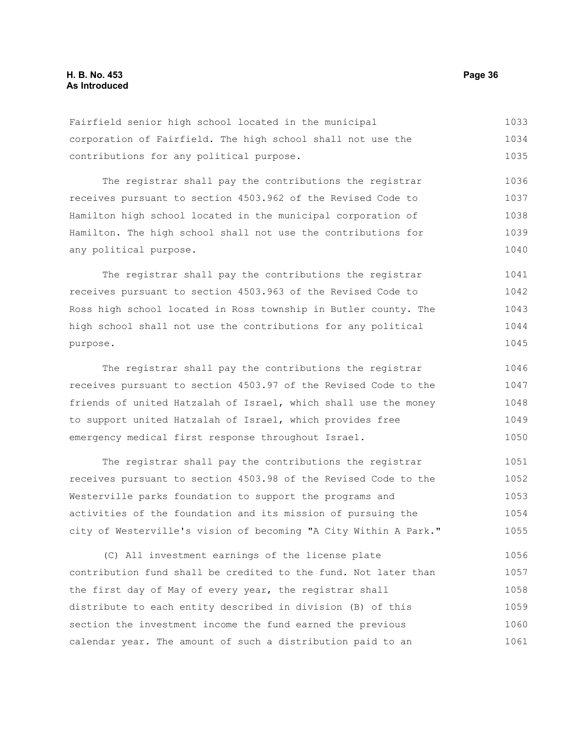Fairfield senior high school located in the municipal corporation of Fairfield. The high school shall not use the contributions for any political purpose. 1033 1034 1035

The registrar shall pay the contributions the registrar receives pursuant to section 4503.962 of the Revised Code to Hamilton high school located in the municipal corporation of Hamilton. The high school shall not use the contributions for any political purpose. 1036 1037 1038 1039 1040

The registrar shall pay the contributions the registrar receives pursuant to section 4503.963 of the Revised Code to Ross high school located in Ross township in Butler county. The high school shall not use the contributions for any political purpose. 1041 1042 1043 1044 1045

The registrar shall pay the contributions the registrar receives pursuant to section 4503.97 of the Revised Code to the friends of united Hatzalah of Israel, which shall use the money to support united Hatzalah of Israel, which provides free emergency medical first response throughout Israel. 1046 1047 1048 1049 1050

The registrar shall pay the contributions the registrar receives pursuant to section 4503.98 of the Revised Code to the Westerville parks foundation to support the programs and activities of the foundation and its mission of pursuing the city of Westerville's vision of becoming "A City Within A Park." 1051 1052 1053 1054 1055

(C) All investment earnings of the license plate contribution fund shall be credited to the fund. Not later than the first day of May of every year, the registrar shall distribute to each entity described in division (B) of this section the investment income the fund earned the previous calendar year. The amount of such a distribution paid to an 1056 1057 1058 1059 1060 1061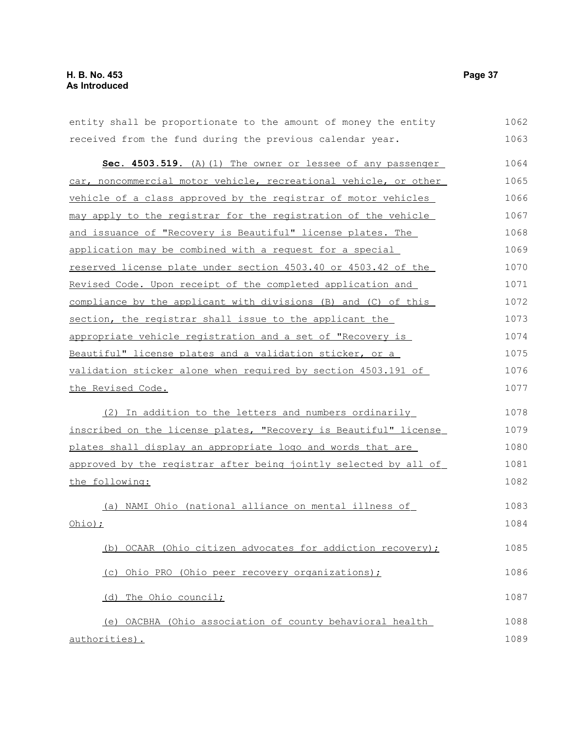entity shall be proportionate to the amount of money the entity received from the fund during the previous calendar year. **Sec. 4503.519.** (A) (1) The owner or lessee of any passenger car, noncommercial motor vehicle, recreational vehicle, or other vehicle of a class approved by the registrar of motor vehicles may apply to the registrar for the registration of the vehicle and issuance of "Recovery is Beautiful" license plates. The application may be combined with a request for a special reserved license plate under section 4503.40 or 4503.42 of the Revised Code. Upon receipt of the completed application and compliance by the applicant with divisions (B) and (C) of this section, the registrar shall issue to the applicant the appropriate vehicle registration and a set of " Recovery is Beautiful" license plates and a validation sticker, or a validation sticker alone when required by section 4503.191 of the Revised Code. (2) In addition to the letters and numbers ordinarily inscribed on the license plates, "Recovery is Beautiful" license plates shall display an appropriate logo and words that are approved by the registrar after being jointly selected by all of the following: (a) NAMI Ohio ( national alliance on mental illness of  $Ohio)$  ; (b) OCAAR (Ohio citizen advocates for addiction recovery); (c) Ohio PRO (Ohio peer recovery organizations); (d) The Ohio council; (e) OACBHA (Ohio association of county behavioral health 1062 1063 1064 1065 1066 1067 1068 1069 1070 1071 1072 1073 1074 1075 1076 1077 1078 1079 1080 1081 1082 1083 1084 1085 1086 1087 1088